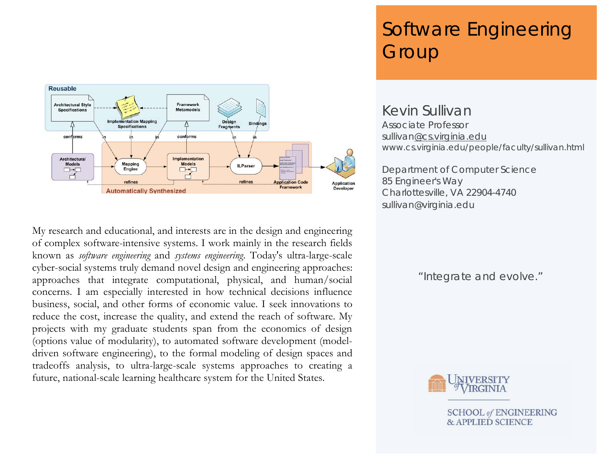

My research and educational, and interests are in the design and engineering of complex software-intensive systems. I work mainly in the research fields known as *software engineering* and *systems engineering*. Today's ultra-large-scale cyber-social systems truly demand novel design and engineering approaches: approaches that integrate computational, physical, and human/social concerns. I am especially interested in how technical decisions influence business, social, and other forms of economic value. I seek innovations to reduce the cost, increase the quality, and extend the reach of software. My projects with my graduate students span from the economics of design (options value of modularity), to automated software development (modeldriven software engineering), to the formal modeling of design spaces and tradeoffs analysis, to ultra-large-scale systems approaches to creating a future, national-scale learning healthcare system for the United States.

# Software Engineering **Group**

Kevin Sullivan Associate Professor sulliva[n@cs.virginia.edu](mailto:jrc2h@virginia.edu) www.cs.virginia.edu/people/faculty/sullivan.html

Department of Computer Science 85 Engineer's Way Charlottesville, VA 22904-4740 sullivan@virginia.edu

"Integrate and evolve."



**SCHOOL of ENGINEERING & APPLIED SCIENCE**